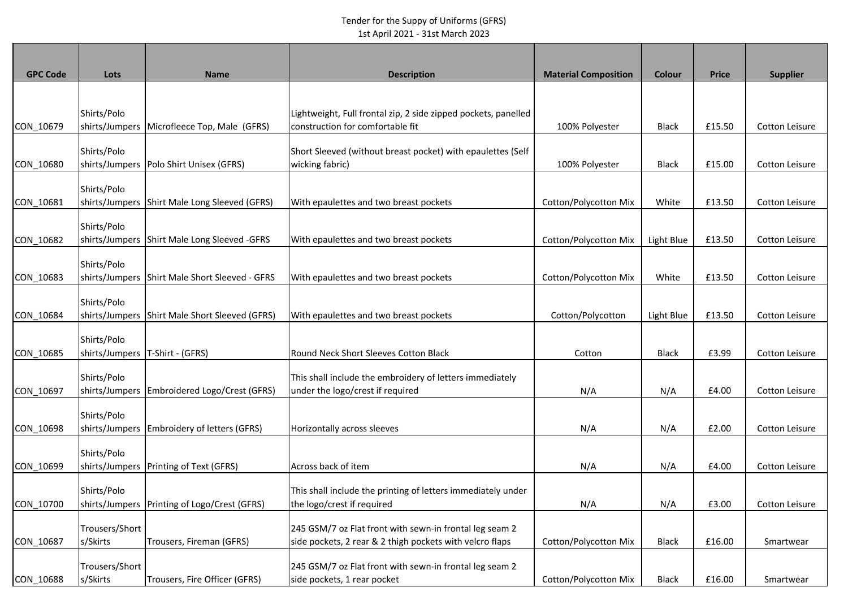## Tender for the Suppy of Uniforms (GFRS) 1st April 2021 - 31st March 2023

| <b>GPC Code</b> | Lots                          | <b>Name</b>                                    | <b>Description</b>                                                                                                  | <b>Material Composition</b>  | Colour       | <b>Price</b> | <b>Supplier</b>       |
|-----------------|-------------------------------|------------------------------------------------|---------------------------------------------------------------------------------------------------------------------|------------------------------|--------------|--------------|-----------------------|
|                 |                               |                                                |                                                                                                                     |                              |              |              |                       |
| CON_10679       | Shirts/Polo                   | shirts/Jumpers Microfleece Top, Male (GFRS)    | Lightweight, Full frontal zip, 2 side zipped pockets, panelled<br>construction for comfortable fit                  | 100% Polyester               | Black        | £15.50       | <b>Cotton Leisure</b> |
| CON_10680       | Shirts/Polo                   | shirts/Jumpers Polo Shirt Unisex (GFRS)        | Short Sleeved (without breast pocket) with epaulettes (Self<br>wicking fabric)                                      | 100% Polyester               | <b>Black</b> | £15.00       | <b>Cotton Leisure</b> |
| CON_10681       | Shirts/Polo                   | shirts/Jumpers Shirt Male Long Sleeved (GFRS)  | With epaulettes and two breast pockets                                                                              | Cotton/Polycotton Mix        | White        | £13.50       | Cotton Leisure        |
| CON_10682       | Shirts/Polo                   | shirts/Jumpers Shirt Male Long Sleeved -GFRS   | With epaulettes and two breast pockets                                                                              | Cotton/Polycotton Mix        | Light Blue   | £13.50       | Cotton Leisure        |
| CON_10683       | Shirts/Polo                   | shirts/Jumpers Shirt Male Short Sleeved - GFRS | With epaulettes and two breast pockets                                                                              | Cotton/Polycotton Mix        | White        | £13.50       | Cotton Leisure        |
| CON_10684       | Shirts/Polo                   | shirts/Jumpers Shirt Male Short Sleeved (GFRS) | With epaulettes and two breast pockets                                                                              | Cotton/Polycotton            | Light Blue   | £13.50       | Cotton Leisure        |
| CON_10685       | Shirts/Polo                   | shirts/Jumpers   T-Shirt - (GFRS)              | Round Neck Short Sleeves Cotton Black                                                                               | Cotton                       | <b>Black</b> | £3.99        | <b>Cotton Leisure</b> |
| CON_10697       | Shirts/Polo                   | shirts/Jumpers Embroidered Logo/Crest (GFRS)   | This shall include the embroidery of letters immediately<br>under the logo/crest if required                        | N/A                          | N/A          | £4.00        | Cotton Leisure        |
| CON_10698       | Shirts/Polo<br>shirts/Jumpers | Embroidery of letters (GFRS)                   | Horizontally across sleeves                                                                                         | N/A                          | N/A          | £2.00        | <b>Cotton Leisure</b> |
| CON_10699       | Shirts/Polo                   | shirts/Jumpers   Printing of Text (GFRS)       | Across back of item                                                                                                 | N/A                          | N/A          | £4.00        | Cotton Leisure        |
| CON 10700       | Shirts/Polo                   | shirts/Jumpers   Printing of Logo/Crest (GFRS) | This shall include the printing of letters immediately under<br>the logo/crest if required                          | N/A                          | N/A          | £3.00        | Cotton Leisure        |
| CON_10687       | Trousers/Short<br>s/Skirts    | Trousers, Fireman (GFRS)                       | 245 GSM/7 oz Flat front with sewn-in frontal leg seam 2<br>side pockets, 2 rear & 2 thigh pockets with velcro flaps | <b>Cotton/Polycotton Mix</b> | <b>Black</b> | £16.00       | Smartwear             |
| CON 10688       | Trousers/Short<br>s/Skirts    | Trousers, Fire Officer (GFRS)                  | 245 GSM/7 oz Flat front with sewn-in frontal leg seam 2<br>side pockets, 1 rear pocket                              | Cotton/Polycotton Mix        | Black        | £16.00       | Smartwear             |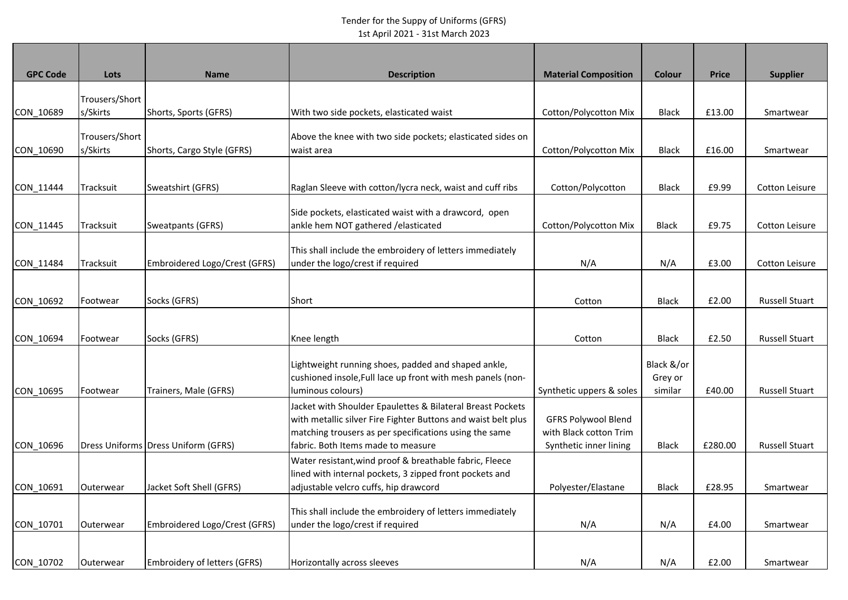## Tender for the Suppy of Uniforms (GFRS) 1st April 2021 - 31st March 2023

| <b>GPC Code</b> | Lots                       | <b>Name</b>                         | <b>Description</b>                                                                                                                                                                                                          | <b>Material Composition</b>                                                    | <b>Colour</b>                    | <b>Price</b> | <b>Supplier</b>       |
|-----------------|----------------------------|-------------------------------------|-----------------------------------------------------------------------------------------------------------------------------------------------------------------------------------------------------------------------------|--------------------------------------------------------------------------------|----------------------------------|--------------|-----------------------|
| CON 10689       | Trousers/Short<br>s/Skirts | Shorts, Sports (GFRS)               | With two side pockets, elasticated waist                                                                                                                                                                                    | Cotton/Polycotton Mix                                                          | <b>Black</b>                     | £13.00       | Smartwear             |
|                 |                            |                                     |                                                                                                                                                                                                                             |                                                                                |                                  |              |                       |
| CON 10690       | Trousers/Short<br>s/Skirts | Shorts, Cargo Style (GFRS)          | Above the knee with two side pockets; elasticated sides on<br>waist area                                                                                                                                                    | Cotton/Polycotton Mix                                                          | <b>Black</b>                     | £16.00       | Smartwear             |
| CON_11444       | Tracksuit                  | Sweatshirt (GFRS)                   | Raglan Sleeve with cotton/lycra neck, waist and cuff ribs                                                                                                                                                                   | Cotton/Polycotton                                                              | <b>Black</b>                     | £9.99        | Cotton Leisure        |
| CON_11445       | Tracksuit                  | Sweatpants (GFRS)                   | Side pockets, elasticated waist with a drawcord, open<br>ankle hem NOT gathered / elasticated                                                                                                                               | Cotton/Polycotton Mix                                                          | <b>Black</b>                     | £9.75        | Cotton Leisure        |
| CON_11484       | Tracksuit                  | Embroidered Logo/Crest (GFRS)       | This shall include the embroidery of letters immediately<br>under the logo/crest if required                                                                                                                                | N/A                                                                            | N/A                              | £3.00        | Cotton Leisure        |
| CON_10692       | Footwear                   | Socks (GFRS)                        | Short                                                                                                                                                                                                                       | Cotton                                                                         | Black                            | £2.00        | <b>Russell Stuart</b> |
| CON_10694       | Footwear                   | Socks (GFRS)                        | Knee length                                                                                                                                                                                                                 | Cotton                                                                         | <b>Black</b>                     | £2.50        | <b>Russell Stuart</b> |
| CON 10695       | Footwear                   | Trainers, Male (GFRS)               | Lightweight running shoes, padded and shaped ankle,<br>cushioned insole, Full lace up front with mesh panels (non-<br>luminous colours)                                                                                     | Synthetic uppers & soles                                                       | Black &/or<br>Grey or<br>similar | £40.00       | <b>Russell Stuart</b> |
| CON 10696       |                            | Dress Uniforms Dress Uniform (GFRS) | Jacket with Shoulder Epaulettes & Bilateral Breast Pockets<br>with metallic silver Fire Fighter Buttons and waist belt plus<br>matching trousers as per specifications using the same<br>fabric. Both Items made to measure | <b>GFRS Polywool Blend</b><br>with Black cotton Trim<br>Synthetic inner lining | <b>Black</b>                     | £280.00      | <b>Russell Stuart</b> |
| CON 10691       | Outerwear                  | Jacket Soft Shell (GFRS)            | Water resistant, wind proof & breathable fabric, Fleece<br>lined with internal pockets, 3 zipped front pockets and<br>adjustable velcro cuffs, hip drawcord                                                                 | Polyester/Elastane                                                             | <b>Black</b>                     | £28.95       | Smartwear             |
| CON_10701       | Outerwear                  | Embroidered Logo/Crest (GFRS)       | This shall include the embroidery of letters immediately<br>under the logo/crest if required                                                                                                                                | N/A                                                                            | N/A                              | £4.00        | Smartwear             |
| CON 10702       | Outerwear                  | <b>Embroidery of letters (GFRS)</b> | Horizontally across sleeves                                                                                                                                                                                                 | N/A                                                                            | N/A                              | £2.00        | Smartwear             |